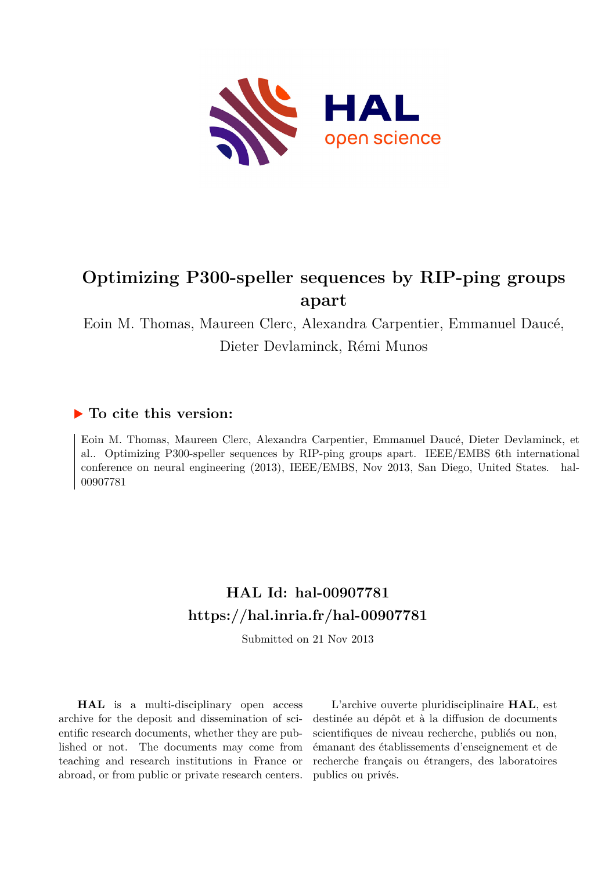

# **Optimizing P300-speller sequences by RIP-ping groups apart**

Eoin M. Thomas, Maureen Clerc, Alexandra Carpentier, Emmanuel Daucé, Dieter Devlaminck, Rémi Munos

# **To cite this version:**

Eoin M. Thomas, Maureen Clerc, Alexandra Carpentier, Emmanuel Daucé, Dieter Devlaminck, et al.. Optimizing P300-speller sequences by RIP-ping groups apart. IEEE/EMBS 6th international conference on neural engineering (2013), IEEE/EMBS, Nov 2013, San Diego, United States. hal-00907781ff

# **HAL Id: hal-00907781 <https://hal.inria.fr/hal-00907781>**

Submitted on 21 Nov 2013

**HAL** is a multi-disciplinary open access archive for the deposit and dissemination of scientific research documents, whether they are published or not. The documents may come from teaching and research institutions in France or abroad, or from public or private research centers.

L'archive ouverte pluridisciplinaire **HAL**, est destinée au dépôt et à la diffusion de documents scientifiques de niveau recherche, publiés ou non, émanant des établissements d'enseignement et de recherche français ou étrangers, des laboratoires publics ou privés.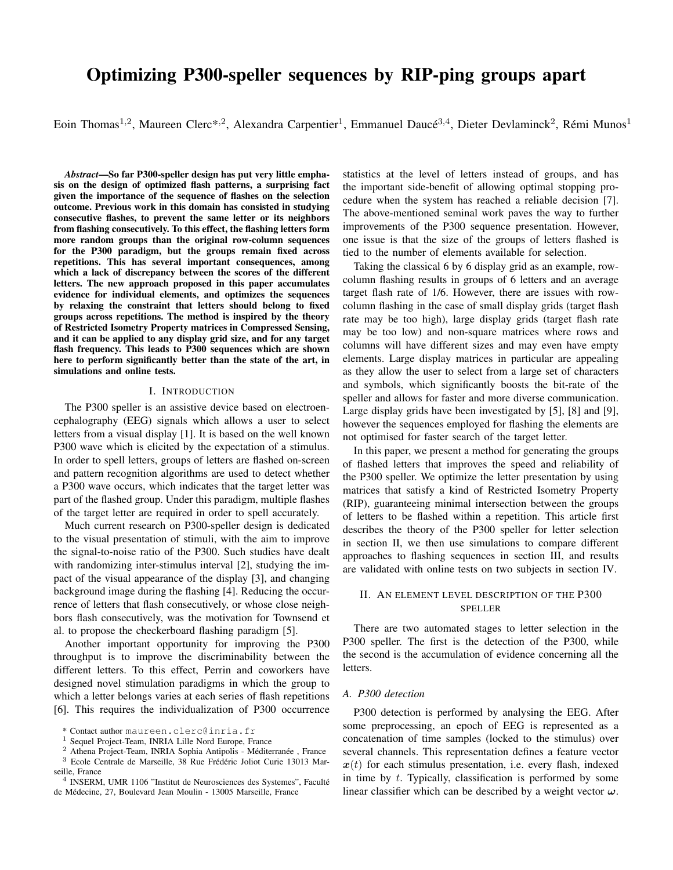# Optimizing P300-speller sequences by RIP-ping groups apart

Eoin Thomas<sup>1,2</sup>, Maureen Clerc\*<sup>,2</sup>, Alexandra Carpentier<sup>1</sup>, Emmanuel Daucé<sup>3,4</sup>, Dieter Devlaminck<sup>2</sup>, Rémi Munos<sup>1</sup>

*Abstract*—So far P300-speller design has put very little emphasis on the design of optimized flash patterns, a surprising fact given the importance of the sequence of flashes on the selection outcome. Previous work in this domain has consisted in studying consecutive flashes, to prevent the same letter or its neighbors from flashing consecutively. To this effect, the flashing letters form more random groups than the original row-column sequences for the P300 paradigm, but the groups remain fixed across repetitions. This has several important consequences, among which a lack of discrepancy between the scores of the different letters. The new approach proposed in this paper accumulates evidence for individual elements, and optimizes the sequences by relaxing the constraint that letters should belong to fixed groups across repetitions. The method is inspired by the theory of Restricted Isometry Property matrices in Compressed Sensing, and it can be applied to any display grid size, and for any target flash frequency. This leads to P300 sequences which are shown here to perform significantly better than the state of the art, in simulations and online tests.

### I. INTRODUCTION

The P300 speller is an assistive device based on electroencephalography (EEG) signals which allows a user to select letters from a visual display [1]. It is based on the well known P300 wave which is elicited by the expectation of a stimulus. In order to spell letters, groups of letters are flashed on-screen and pattern recognition algorithms are used to detect whether a P300 wave occurs, which indicates that the target letter was part of the flashed group. Under this paradigm, multiple flashes of the target letter are required in order to spell accurately.

Much current research on P300-speller design is dedicated to the visual presentation of stimuli, with the aim to improve the signal-to-noise ratio of the P300. Such studies have dealt with randomizing inter-stimulus interval [2], studying the impact of the visual appearance of the display [3], and changing background image during the flashing [4]. Reducing the occurrence of letters that flash consecutively, or whose close neighbors flash consecutively, was the motivation for Townsend et al. to propose the checkerboard flashing paradigm [5].

Another important opportunity for improving the P300 throughput is to improve the discriminability between the different letters. To this effect, Perrin and coworkers have designed novel stimulation paradigms in which the group to which a letter belongs varies at each series of flash repetitions [6]. This requires the individualization of P300 occurrence statistics at the level of letters instead of groups, and has the important side-benefit of allowing optimal stopping procedure when the system has reached a reliable decision [7]. The above-mentioned seminal work paves the way to further improvements of the P300 sequence presentation. However, one issue is that the size of the groups of letters flashed is tied to the number of elements available for selection.

Taking the classical 6 by 6 display grid as an example, rowcolumn flashing results in groups of 6 letters and an average target flash rate of 1/6. However, there are issues with rowcolumn flashing in the case of small display grids (target flash rate may be too high), large display grids (target flash rate may be too low) and non-square matrices where rows and columns will have different sizes and may even have empty elements. Large display matrices in particular are appealing as they allow the user to select from a large set of characters and symbols, which significantly boosts the bit-rate of the speller and allows for faster and more diverse communication. Large display grids have been investigated by [5], [8] and [9], however the sequences employed for flashing the elements are not optimised for faster search of the target letter.

In this paper, we present a method for generating the groups of flashed letters that improves the speed and reliability of the P300 speller. We optimize the letter presentation by using matrices that satisfy a kind of Restricted Isometry Property (RIP), guaranteeing minimal intersection between the groups of letters to be flashed within a repetition. This article first describes the theory of the P300 speller for letter selection in section II, we then use simulations to compare different approaches to flashing sequences in section III, and results are validated with online tests on two subjects in section IV.

# II. AN ELEMENT LEVEL DESCRIPTION OF THE P300 SPELLER

There are two automated stages to letter selection in the P300 speller. The first is the detection of the P300, while the second is the accumulation of evidence concerning all the letters.

# *A. P300 detection*

P300 detection is performed by analysing the EEG. After some preprocessing, an epoch of EEG is represented as a concatenation of time samples (locked to the stimulus) over several channels. This representation defines a feature vector  $x(t)$  for each stimulus presentation, i.e. every flash, indexed in time by t. Typically, classification is performed by some linear classifier which can be described by a weight vector  $\omega$ .

<sup>\*</sup> Contact author maureen.clerc@inria.fr

<sup>&</sup>lt;sup>1</sup> Sequel Project-Team, INRIA Lille Nord Europe, France

<sup>&</sup>lt;sup>2</sup> Athena Project-Team, INRIA Sophia Antipolis - Méditerranée, France  $3$  Ecole Centrale de Marseille, 38 Rue Frédéric Joliot Curie 13013 Marseille, France

<sup>&</sup>lt;sup>4</sup> INSERM, UMR 1106 "Institut de Neurosciences des Systemes", Faculté de Médecine, 27, Boulevard Jean Moulin - 13005 Marseille, France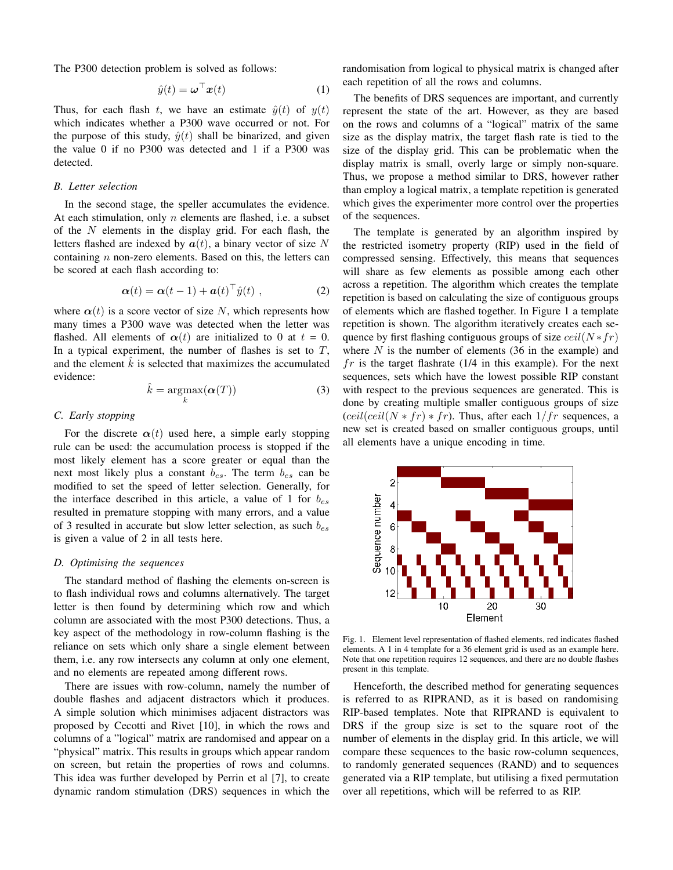The P300 detection problem is solved as follows:

$$
\hat{y}(t) = \boldsymbol{\omega}^{\top} \boldsymbol{x}(t) \tag{1}
$$

Thus, for each flash t, we have an estimate  $\hat{y}(t)$  of  $y(t)$ which indicates whether a P300 wave occurred or not. For the purpose of this study,  $\hat{y}(t)$  shall be binarized, and given the value 0 if no P300 was detected and 1 if a P300 was detected.

### *B. Letter selection*

In the second stage, the speller accumulates the evidence. At each stimulation, only  $n$  elements are flashed, i.e. a subset of the  $N$  elements in the display grid. For each flash, the letters flashed are indexed by  $a(t)$ , a binary vector of size N containing  $n$  non-zero elements. Based on this, the letters can be scored at each flash according to:

$$
\boldsymbol{\alpha}(t) = \boldsymbol{\alpha}(t-1) + \boldsymbol{a}(t)^{\top} \hat{y}(t) , \qquad (2)
$$

where  $\alpha(t)$  is a score vector of size N, which represents how many times a P300 wave was detected when the letter was flashed. All elements of  $\alpha(t)$  are initialized to 0 at  $t = 0$ . In a typical experiment, the number of flashes is set to  $T$ , and the element  $\hat{k}$  is selected that maximizes the accumulated evidence:

$$
\hat{k} = \underset{k}{\operatorname{argmax}} (\boldsymbol{\alpha}(T))
$$
 (3)

## *C. Early stopping*

For the discrete  $\alpha(t)$  used here, a simple early stopping rule can be used: the accumulation process is stopped if the most likely element has a score greater or equal than the next most likely plus a constant  $b_{es}$ . The term  $b_{es}$  can be modified to set the speed of letter selection. Generally, for the interface described in this article, a value of 1 for  $b_{es}$ resulted in premature stopping with many errors, and a value of 3 resulted in accurate but slow letter selection, as such  $b_{es}$ is given a value of 2 in all tests here.

# *D. Optimising the sequences*

The standard method of flashing the elements on-screen is to flash individual rows and columns alternatively. The target letter is then found by determining which row and which column are associated with the most P300 detections. Thus, a key aspect of the methodology in row-column flashing is the reliance on sets which only share a single element between them, i.e. any row intersects any column at only one element, and no elements are repeated among different rows.

There are issues with row-column, namely the number of double flashes and adjacent distractors which it produces. A simple solution which minimises adjacent distractors was proposed by Cecotti and Rivet [10], in which the rows and columns of a "logical" matrix are randomised and appear on a "physical" matrix. This results in groups which appear random on screen, but retain the properties of rows and columns. This idea was further developed by Perrin et al [7], to create dynamic random stimulation (DRS) sequences in which the randomisation from logical to physical matrix is changed after each repetition of all the rows and columns.

The benefits of DRS sequences are important, and currently represent the state of the art. However, as they are based on the rows and columns of a "logical" matrix of the same size as the display matrix, the target flash rate is tied to the size of the display grid. This can be problematic when the display matrix is small, overly large or simply non-square. Thus, we propose a method similar to DRS, however rather than employ a logical matrix, a template repetition is generated which gives the experimenter more control over the properties of the sequences.

The template is generated by an algorithm inspired by the restricted isometry property (RIP) used in the field of compressed sensing. Effectively, this means that sequences will share as few elements as possible among each other across a repetition. The algorithm which creates the template repetition is based on calculating the size of contiguous groups of elements which are flashed together. In Figure 1 a template repetition is shown. The algorithm iteratively creates each sequence by first flashing contiguous groups of size  $ceil(N * fr)$ where  $N$  is the number of elements (36 in the example) and  $fr$  is the target flashrate (1/4 in this example). For the next sequences, sets which have the lowest possible RIP constant with respect to the previous sequences are generated. This is done by creating multiple smaller contiguous groups of size  $\left(\frac{ceil(\text{ceil}(N * fr) * fr)}{r}\right)$ . Thus, after each  $1/fr$  sequences, a new set is created based on smaller contiguous groups, until all elements have a unique encoding in time.



Fig. 1. Element level representation of flashed elements, red indicates flashed elements. A 1 in 4 template for a 36 element grid is used as an example here. Note that one repetition requires 12 sequences, and there are no double flashes present in this template.

Henceforth, the described method for generating sequences is referred to as RIPRAND, as it is based on randomising RIP-based templates. Note that RIPRAND is equivalent to DRS if the group size is set to the square root of the number of elements in the display grid. In this article, we will compare these sequences to the basic row-column sequences, to randomly generated sequences (RAND) and to sequences generated via a RIP template, but utilising a fixed permutation over all repetitions, which will be referred to as RIP.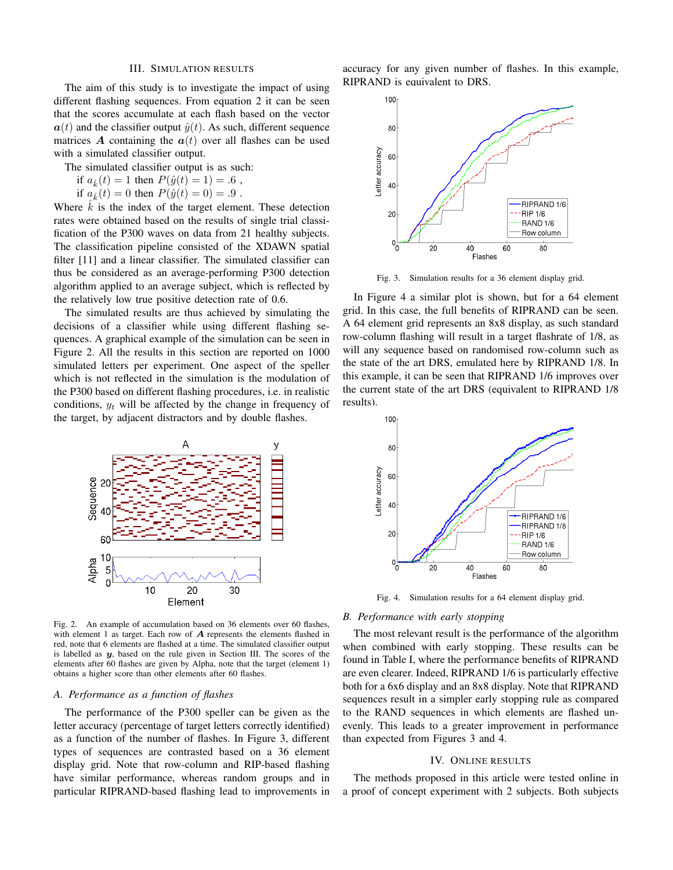#### III. SIMULATION RESULTS

The aim of this study is to investigate the impact of using different flashing sequences. From equation 2 it can be seen that the scores accumulate at each flash based on the vector  $a(t)$  and the classifier output  $\hat{y}(t)$ . As such, different sequence matrices A containing the  $a(t)$  over all flashes can be used with a simulated classifier output.

The simulated classifier output is as such:

if  $a_k^*(t) = 1$  then  $P(\hat{y}(t) = 1) = .6$ ,

if  $a_k^*(t) = 0$  then  $P(\hat{y}(t) = 0) = .9$ .

Where  $\hat{k}$  is the index of the target element. These detection rates were obtained based on the results of single trial classification of the P300 waves on data from 21 healthy subjects. The classification pipeline consisted of the XDAWN spatial filter [11] and a linear classifier. The simulated classifier can thus be considered as an average-performing P300 detection algorithm applied to an average subject, which is reflected by the relatively low true positive detection rate of 0.6.

The simulated results are thus achieved by simulating the decisions of a classifier while using different flashing sequences. A graphical example of the simulation can be seen in Figure 2. All the results in this section are reported on 1000 simulated letters per experiment. One aspect of the speller which is not reflected in the simulation is the modulation of the P300 based on different flashing procedures, i.e. in realistic conditions,  $y_t$  will be affected by the change in frequency of the target, by adjacent distractors and by double flashes.



Fig. 2. An example of accumulation based on 36 elements over 60 flashes, with element 1 as target. Each row of  $A$  represents the elements flashed in red, note that 6 elements are flashed at a time. The simulated classifier output is labelled as  $y$ , based on the rule given in Section III. The scores of the elements after 60 flashes are given by Alpha, note that the target (element 1) obtains a higher score than other elements after 60 flashes.

#### *A. Performance as a function of flashes*

The performance of the P300 speller can be given as the letter accuracy (percentage of target letters correctly identified) as a function of the number of flashes. In Figure 3, different types of sequences are contrasted based on a 36 element display grid. Note that row-column and RIP-based flashing have similar performance, whereas random groups and in particular RIPRAND-based flashing lead to improvements in accuracy for any given number of flashes. In this example, RIPRAND is equivalent to DRS.



Fig. 3. Simulation results for a 36 element display grid.

In Figure 4 a similar plot is shown, but for a 64 element grid. In this case, the full benefits of RIPRAND can be seen. A 64 element grid represents an 8x8 display, as such standard row-column flashing will result in a target flashrate of 1/8, as will any sequence based on randomised row-column such as the state of the art DRS, emulated here by RIPRAND 1/8. In this example, it can be seen that RIPRAND 1/6 improves over the current state of the art DRS (equivalent to RIPRAND 1/8 results).



Fig. 4. Simulation results for a 64 element display grid.

#### *B. Performance with early stopping*

The most relevant result is the performance of the algorithm when combined with early stopping. These results can be found in Table I, where the performance benefits of RIPRAND are even clearer. Indeed, RIPRAND 1/6 is particularly effective both for a 6x6 display and an 8x8 display. Note that RIPRAND sequences result in a simpler early stopping rule as compared to the RAND sequences in which elements are flashed unevenly. This leads to a greater improvement in performance than expected from Figures 3 and 4.

#### IV. ONLINE RESULTS

The methods proposed in this article were tested online in a proof of concept experiment with 2 subjects. Both subjects